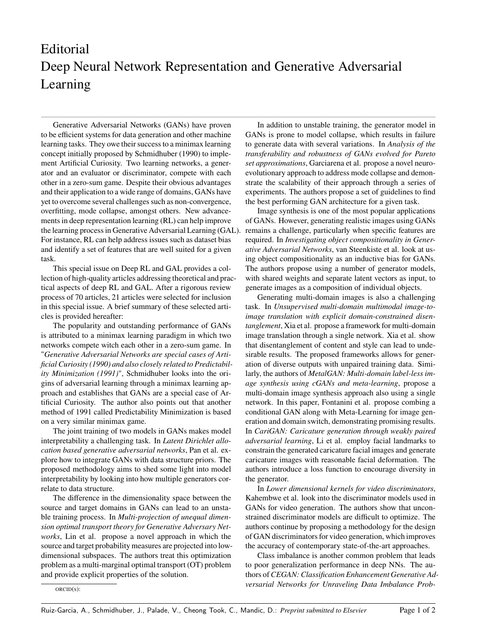## Editorial Deep Neural Network Representation and Generative Adversarial Learning

Generative Adversarial Networks (GANs) have proven to be efficient systems for data generation and other machine learning tasks. They owe their success to a minimax learning concept initially proposed by Schmidhuber (1990) to implement Artificial Curiosity. Two learning networks, a generator and an evaluator or discriminator, compete with each other in a zero-sum game. Despite their obvious advantages and their application to a wide range of domains, GANs have yet to overcome several challenges such as non-convergence, overfitting, mode collapse, amongst others. New advancements in deep representation learning (RL) can help improve the learning process in Generative Adversarial Learning (GAL). For instance, RL can help address issues such as dataset bias and identify a set of features that are well suited for a given task.

This special issue on Deep RL and GAL provides a collection of high-quality articles addressing theoretical and practical aspects of deep RL and GAL. After a rigorous review process of 70 articles, 21 articles were selected for inclusion in this special issue. A brief summary of these selected articles is provided hereafter:

The popularity and outstanding performance of GANs is attributed to a minimax learning paradigm in which two networks compete witch each other in a zero-sum game. In "*Generative Adversarial Networks are special cases of Artificial Curiosity (1990) and also closely related to Predictability Minimization (1991)*", Schmidhuber looks into the origins of adversarial learning through a minimax learning approach and establishes that GANs are a special case of Artificial Curiosity. The author also points out that another method of 1991 called Predictability Minimization is based on a very similar minimax game.

The joint training of two models in GANs makes model interpretability a challenging task. In *Latent Dirichlet allocation based generative adversarial networks*, Pan et al. explore how to integrate GANs with data structure priors. The proposed methodology aims to shed some light into model interpretability by looking into how multiple generators correlate to data structure.

The difference in the dimensionality space between the source and target domains in GANs can lead to an unstable training process. In *Multi-projection of unequal dimension optimal transport theory for Generative Adversary Networks*, Lin et al. propose a novel approach in which the source and target probability measures are projected into lowdimensional subspaces. The authors treat this optimization problem as a multi-marginal optimal transport (OT) problem and provide explicit properties of the solution.

In addition to unstable training, the generator model in GANs is prone to model collapse, which results in failure to generate data with several variations. In *Analysis of the transferability and robustness of GANs evolved for Pareto set approximations*, Garciarena et al. propose a novel neuroevolutionary approach to address mode collapse and demonstrate the scalability of their approach through a series of experiments. The authors propose a set of guidelines to find the best performing GAN architecture for a given task.

Image synthesis is one of the most popular applications of GANs. However, generating realistic images using GANs remains a challenge, particularly when specific features are required. In *Investigating object compositionality in Generative Adversarial Networks*, van Steenkiste et al. look at using object compositionality as an inductive bias for GANs. The authors propose using a number of generator models, with shared weights and separate latent vectors as input, to generate images as a composition of individual objects.

Generating multi-domain images is also a challenging task. In *Unsupervised multi-domain multimodal image-toimage translation with explicit domain-constrained disentanglement*, Xia et al. propose a framework for multi-domain image translation through a single network. Xia et al. show that disentanglement of content and style can lead to undesirable results. The proposed frameworks allows for generation of diverse outputs with unpaired training data. Similarly, the authors of *MetalGAN: Multi-domain label-less image synthesis using cGANs and meta-learning*, propose a multi-domain image synthesis approach also using a single network. In this paper, Fontanini et al. propose combing a conditional GAN along with Meta-Learning for image generation and domain switch, demonstrating promising results. In *CariGAN: Caricature generation through weakly paired adversarial learning*, Li et al. employ facial landmarks to constrain the generated caricature facial images and generate caricature images with reasonable facial deformation. The authors introduce a loss function to encourage diversity in the generator.

In *Lower dimensional kernels for video discriminators*, Kahembwe et al. look into the discriminator models used in GANs for video generation. The authors show that unconstrained discriminator models are difficult to optimize. The authors continue by proposing a methodology for the design of GAN discriminators for video generation, which improves the accuracy of contemporary state-of-the-art approaches.

Class imbalance is another common problem that leads to poor generalization performance in deep NNs. The authors of *CEGAN: Classification Enhancement Generative Adversarial Networks for Unraveling Data Imbalance Prob-*

ORCID(s):